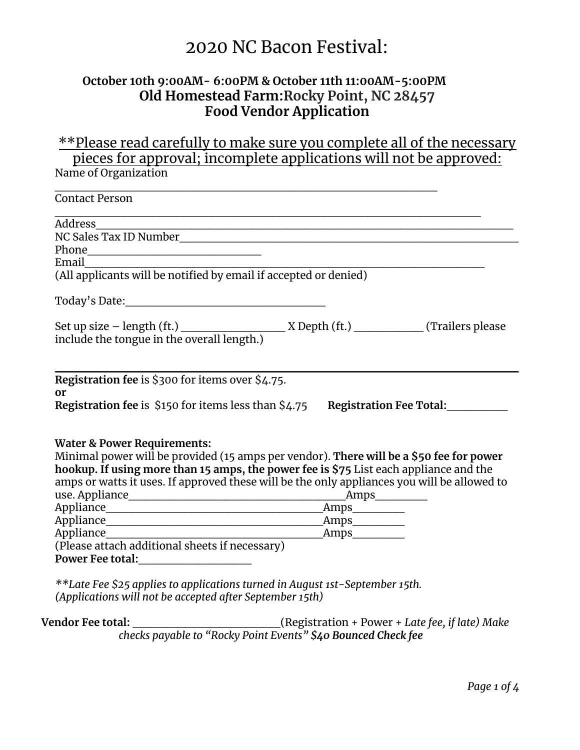# 2020 NC Bacon Festival:

## **October 10th 9:00AM- 6:00PM & October 11th 11:00AM-5:00PM Old Homestead Farm:Rocky Point, NC 28457 Food Vendor Application**

\*\*Please read carefully to make sure you complete all of the necessary pieces for approval; incomplete applications will not be approved: Name of Organization

| <b>Contact Person</b>                                                                       |                          |  |
|---------------------------------------------------------------------------------------------|--------------------------|--|
| Address                                                                                     |                          |  |
|                                                                                             |                          |  |
|                                                                                             |                          |  |
| Email                                                                                       |                          |  |
| Effian<br>(All applicants will be notified by email if accepted or denied)                  |                          |  |
|                                                                                             |                          |  |
|                                                                                             |                          |  |
|                                                                                             |                          |  |
|                                                                                             |                          |  |
| Registration fee is \$300 for items over \$4.75.                                            |                          |  |
| or                                                                                          |                          |  |
| Registration fee is \$150 for items less than \$4.75 Registration Fee Total:                |                          |  |
|                                                                                             |                          |  |
| <b>Water &amp; Power Requirements:</b>                                                      |                          |  |
| Minimal power will be provided (15 amps per vendor). There will be a \$50 fee for power     |                          |  |
| hookup. If using more than 15 amps, the power fee is \$75 List each appliance and the       |                          |  |
| amps or watts it uses. If approved these will be the only appliances you will be allowed to |                          |  |
|                                                                                             |                          |  |
|                                                                                             | Amps                     |  |
|                                                                                             | Amps                     |  |
|                                                                                             | $\lfloor$ Amps $\lfloor$ |  |
| (Please attach additional sheets if necessary)                                              |                          |  |
| Power Fee total:                                                                            |                          |  |
|                                                                                             |                          |  |
| **Late Fee \$25 applies to applications turned in August 1st-September 15th.                |                          |  |

*(Applications will not be accepted after September 15th)*

**Vendor Fee total:** \_\_\_\_\_\_\_\_\_\_\_\_\_\_\_\_\_(Registration + Power + *Late fee, if late) Make checks payable to "Rocky Point Events" \$40 Bounced Check fee*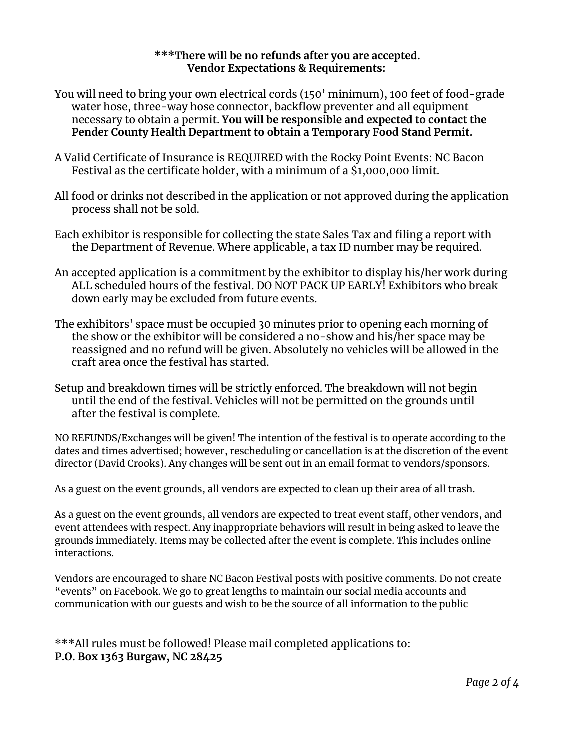#### **\*\*\*There will be no refunds after you are accepted. Vendor Expectations & Requirements:**

- You will need to bring your own electrical cords (150' minimum), 100 feet of food-grade water hose, three-way hose connector, backflow preventer and all equipment necessary to obtain a permit. **You will be responsible and expected to contact the Pender County Health Department to obtain a Temporary Food Stand Permit.**
- A Valid Certificate of Insurance is REQUIRED with the Rocky Point Events: NC Bacon Festival as the certificate holder, with a minimum of a \$1,000,000 limit.
- All food or drinks not described in the application or not approved during the application process shall not be sold.
- Each exhibitor is responsible for collecting the state Sales Tax and filing a report with the Department of Revenue. Where applicable, a tax ID number may be required.
- An accepted application is a commitment by the exhibitor to display his/her work during ALL scheduled hours of the festival. DO NOT PACK UP EARLY! Exhibitors who break down early may be excluded from future events.
- The exhibitors' space must be occupied 30 minutes prior to opening each morning of the show or the exhibitor will be considered a no-show and his/her space may be reassigned and no refund will be given. Absolutely no vehicles will be allowed in the craft area once the festival has started.
- Setup and breakdown times will be strictly enforced. The breakdown will not begin until the end of the festival. Vehicles will not be permitted on the grounds until after the festival is complete.

NO REFUNDS/Exchanges will be given! The intention of the festival is to operate according to the dates and times advertised; however, rescheduling or cancellation is at the discretion of the event director (David Crooks). Any changes will be sent out in an email format to vendors/sponsors.

As a guest on the event grounds, all vendors are expected to clean up their area of all trash.

As a guest on the event grounds, all vendors are expected to treat event staff, other vendors, and event attendees with respect. Any inappropriate behaviors will result in being asked to leave the grounds immediately. Items may be collected after the event is complete. This includes online interactions.

Vendors are encouraged to share NC Bacon Festival posts with positive comments. Do not create "events" on Facebook. We go to great lengths to maintain our social media accounts and communication with our guests and wish to be the source of all information to the public

\*\*\*All rules must be followed! Please mail completed applications to: **P.O. Box 1363 Burgaw, NC 28425**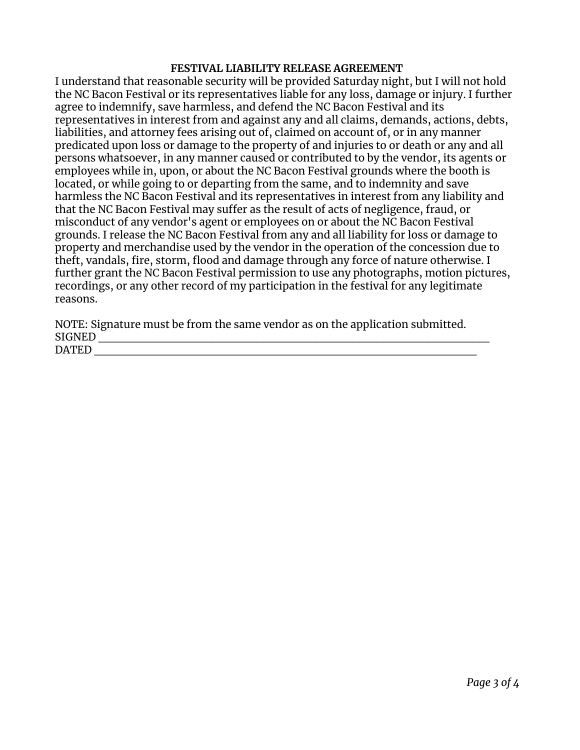#### **FESTIVAL LIABILITY RELEASE AGREEMENT**

I understand that reasonable security will be provided Saturday night, but I will not hold the NC Bacon Festival or its representatives liable for any loss, damage or injury. I further agree to indemnify, save harmless, and defend the NC Bacon Festival and its representatives in interest from and against any and all claims, demands, actions, debts, liabilities, and attorney fees arising out of, claimed on account of, or in any manner predicated upon loss or damage to the property of and injuries to or death or any and all persons whatsoever, in any manner caused or contributed to by the vendor, its agents or employees while in, upon, or about the NC Bacon Festival grounds where the booth is located, or while going to or departing from the same, and to indemnity and save harmless the NC Bacon Festival and its representatives in interest from any liability and that the NC Bacon Festival may suffer as the result of acts of negligence, fraud, or misconduct of any vendor's agent or employees on or about the NC Bacon Festival grounds. I release the NC Bacon Festival from any and all liability for loss or damage to property and merchandise used by the vendor in the operation of the concession due to theft, vandals, fire, storm, flood and damage through any force of nature otherwise. I further grant the NC Bacon Festival permission to use any photographs, motion pictures, recordings, or any other record of my participation in the festival for any legitimate reasons.

NOTE: Signature must be from the same vendor as on the application submitted. SIGNED \_\_\_\_\_\_\_\_\_\_\_\_\_\_\_\_\_\_\_\_\_\_\_\_\_\_\_\_\_\_\_\_\_\_\_\_\_\_\_\_\_\_\_\_\_ DATED  $\blacksquare$